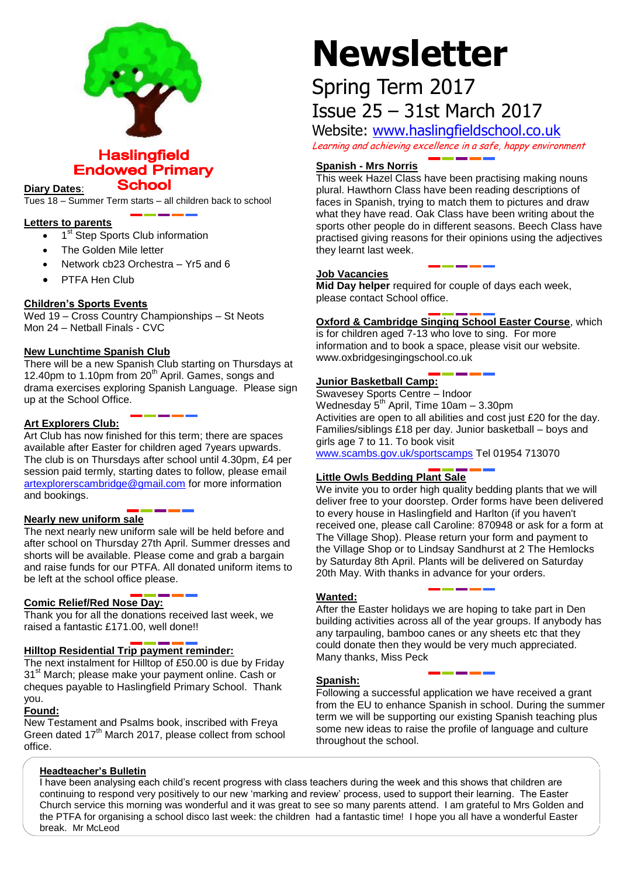

**Haslingfield Endowed Primary** 

**School Diary Dates**:

Tues 18 – Summer Term starts – all children back to school

### **Letters to parents**

- 1<sup>st</sup> Step Sports Club information
- The Golden Mile letter
- Network cb23 Orchestra Yr5 and 6
- PTFA Hen Club

# **Children's Sports Events**

Wed 19 – Cross Country Championships – St Neots Mon 24 – Netball Finals - CVC

# **New Lunchtime Spanish Club**

There will be a new Spanish Club starting on Thursdays at 12.40pm to 1.10pm from  $20<sup>th</sup>$  April. Games, songs and drama exercises exploring Spanish Language. Please sign up at the School Office.

# **Art Explorers Club:**

Art Club has now finished for this term; there are spaces available after Easter for children aged 7years upwards. The club is on Thursdays after school until 4.30pm, £4 per session paid termly, starting dates to follow, please email [artexplorerscambridge@gmail.com](mailto:artexplorerscambridge@gmail.com) for more information and bookings.

#### **Nearly new uniform sale**

The next nearly new uniform sale will be held before and after school on Thursday 27th April. Summer dresses and shorts will be available. Please come and grab a bargain and raise funds for our PTFA. All donated uniform items to be left at the school office please.

#### **Comic Relief/Red Nose Day:**

Thank you for all the donations received last week, we raised a fantastic £171.00, well done!!

### **Hilltop Residential Trip payment reminder:**

The next instalment for Hilltop of £50.00 is due by Friday 31<sup>st</sup> March; please make your payment online. Cash or cheques payable to Haslingfield Primary School. Thank you.

# **Found:**

New Testament and Psalms book, inscribed with Freya Green dated 17<sup>th</sup> March 2017, please collect from school office.

# **Newsletter**

# Spring Term 2017 Issue 25 – 31st March 2017

Website: [www.haslingfieldschool.co.uk](http://www.haslingfieldschool.co.uk/) Learning and achieving excellence in a safe, happy environment

# **Spanish - Mrs Norris**

This week Hazel Class have been practising making nouns plural. Hawthorn Class have been reading descriptions of faces in Spanish, trying to match them to pictures and draw what they have read. Oak Class have been writing about the sports other people do in different seasons. Beech Class have practised giving reasons for their opinions using the adjectives they learnt last week.

#### **Job Vacancies**

**Mid Day helper** required for couple of days each week, please contact School office.

# **Oxford & Cambridge Singing School Easter Course**, which

is for children aged 7-13 who love to sing. For more information and to book a space, please visit our website. www.oxbridgesingingschool.co.uk

# **Junior Basketball Camp:**

Swavesey Sports Centre – Indoor Wednesday  $5<sup>th</sup>$  April, Time 10am – 3.30pm Activities are open to all abilities and cost just £20 for the day. Families/siblings £18 per day. Junior basketball – boys and girls age 7 to 11. To book visit [www.scambs.gov.uk/sportscamps](http://www.scambs.gov.uk/sportscamps) Tel 01954 713070

# **Little Owls Bedding Plant Sale**

 the Village Shop or to Lindsay Sandhurst at 2 The Hemlocks We invite you to order high quality bedding plants that we will deliver free to your doorstep. Order forms have been delivered to every house in Haslingfield and Harlton (if you haven't received one, please call Caroline: 870948 or ask for a form at The Village Shop). Please return your form and payment to by Saturday 8th April. Plants will be delivered on Saturday 20th May. With thanks in advance for your orders.

# **Wanted:**

After the Easter holidays we are hoping to take part in Den building activities across all of the year groups. If anybody has any tarpauling, bamboo canes or any sheets etc that they could donate then they would be very much appreciated. Many thanks, Miss Peck

#### **Spanish:**

Following a successful application we have received a grant from the EU to enhance Spanish in school. During the summer term we will be supporting our existing Spanish teaching plus some new ideas to raise the profile of language and culture throughout the school.

#### **Headteacher's Bulletin**

I have been analysing each child's recent progress with class teachers during the week and this shows that children are continuing to respond very positively to our new 'marking and review' process, used to support their learning. The Easter Church service this morning was wonderful and it was great to see so many parents attend. I am grateful to Mrs Golden and the PTFA for organising a school disco last week: the children had a fantastic time! I hope you all have a wonderful Easter break. Mr McLeod